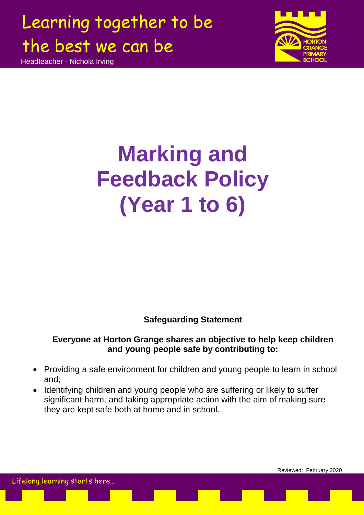Headteacher - Nichola Irving

Lifelong learning starts here…



Reviewed: February 2020

# **Marking and Feedback Policy (Year 1 to 6)**

### **Safeguarding Statement**

### **Everyone at Horton Grange shares an objective to help keep children and young people safe by contributing to:**

- Providing a safe environment for children and young people to learn in school and;
- Identifying children and young people who are suffering or likely to suffer significant harm, and taking appropriate action with the aim of making sure they are kept safe both at home and in school.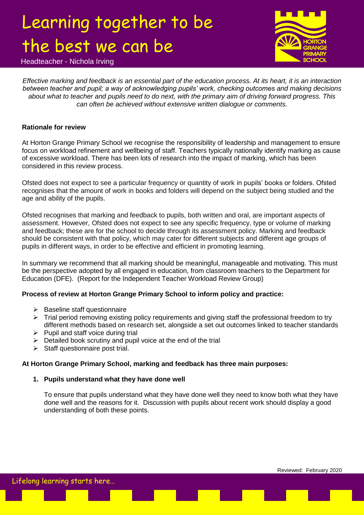Headteacher - Nichola Irving



*Effective marking and feedback is an essential part of the education process. At its heart, it is an interaction between teacher and pupil; a way of acknowledging pupils' work, checking outcomes and making decisions about what to teacher and pupils need to do next, with the primary aim of driving forward progress. This can often be achieved without extensive written dialogue or comments.*

#### **Rationale for review**

At Horton Grange Primary School we recognise the responsibility of leadership and management to ensure focus on workload refinement and wellbeing of staff. Teachers typically nationally identify marking as cause of excessive workload. There has been lots of research into the impact of marking, which has been considered in this review process.

Ofsted does not expect to see a particular frequency or quantity of work in pupils" books or folders. Ofsted recognises that the amount of work in books and folders will depend on the subject being studied and the age and ability of the pupils.

Ofsted recognises that marking and feedback to pupils, both written and oral, are important aspects of assessment. However, Ofsted does not expect to see any specific frequency, type or volume of marking and feedback; these are for the school to decide through its assessment policy. Marking and feedback should be consistent with that policy, which may cater for different subjects and different age groups of pupils in different ways, in order to be effective and efficient in promoting learning.

In summary we recommend that all marking should be meaningful, manageable and motivating. This must be the perspective adopted by all engaged in education, from classroom teachers to the Department for Education (DFE). (Report for the Independent Teacher Workload Review Group)

#### **Process of review at Horton Grange Primary School to inform policy and practice:**

- $\triangleright$  Baseline staff questionnaire
- $\triangleright$  Trial period removing existing policy requirements and giving staff the professional freedom to try different methods based on research set, alongside a set out outcomes linked to teacher standards
- $\triangleright$  Pupil and staff voice during trial
- $\triangleright$  Detailed book scrutiny and pupil voice at the end of the trial
- $\triangleright$  Staff questionnaire post trial.

#### **At Horton Grange Primary School, marking and feedback has three main purposes:**

#### **1. Pupils understand what they have done well**

To ensure that pupils understand what they have done well they need to know both what they have done well and the reasons for it. Discussion with pupils about recent work should display a good understanding of both these points.

Reviewed: February 2020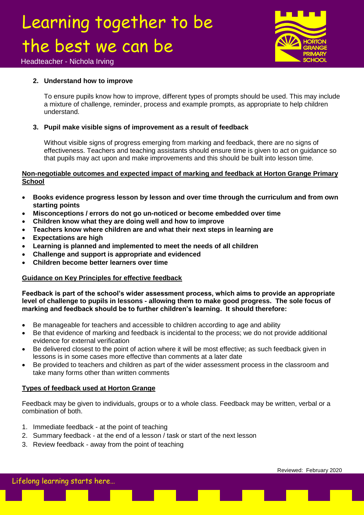

Headteacher - Nichola Irving

#### **2. Understand how to improve**

To ensure pupils know how to improve, different types of prompts should be used. This may include a mixture of challenge, reminder, process and example prompts, as appropriate to help children understand.

#### **3. Pupil make visible signs of improvement as a result of feedback**

Without visible signs of progress emerging from marking and feedback, there are no signs of effectiveness. Teachers and teaching assistants should ensure time is given to act on guidance so that pupils may act upon and make improvements and this should be built into lesson time.

#### **Non-negotiable outcomes and expected impact of marking and feedback at Horton Grange Primary School**

- **Books evidence progress lesson by lesson and over time through the curriculum and from own starting points**
- **Misconceptions / errors do not go un-noticed or become embedded over time**
- **Children know what they are doing well and how to improve**
- **Teachers know where children are and what their next steps in learning are**
- **Expectations are high**
- **Learning is planned and implemented to meet the needs of all children**
- **Challenge and support is appropriate and evidenced**
- **Children become better learners over time**

#### **Guidance on Key Principles for effective feedback**

**Feedback is part of the school's wider assessment process, which aims to provide an appropriate level of challenge to pupils in lessons - allowing them to make good progress. The sole focus of marking and feedback should be to further children's learning. It should therefore:**

- Be manageable for teachers and accessible to children according to age and ability
- Be that evidence of marking and feedback is incidental to the process; we do not provide additional evidence for external verification
- Be delivered closest to the point of action where it will be most effective; as such feedback given in lessons is in some cases more effective than comments at a later date
- Be provided to teachers and children as part of the wider assessment process in the classroom and take many forms other than written comments

#### **Types of feedback used at Horton Grange**

Feedback may be given to individuals, groups or to a whole class. Feedback may be written, verbal or a combination of both.

- 1. Immediate feedback at the point of teaching
- 2. Summary feedback at the end of a lesson / task or start of the next lesson
- 3. Review feedback away from the point of teaching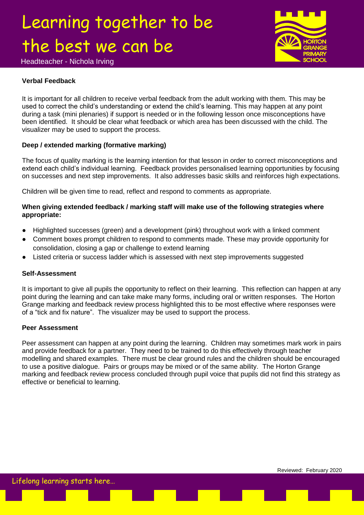Headteacher - Nichola Irving

### **Verbal Feedback**

It is important for all children to receive verbal feedback from the adult working with them. This may be used to correct the child"s understanding or extend the child"s learning. This may happen at any point during a task (mini plenaries) if support is needed or in the following lesson once misconceptions have been identified. It should be clear what feedback or which area has been discussed with the child. The visualizer may be used to support the process.

#### **Deep / extended marking (formative marking)**

The focus of quality marking is the learning intention for that lesson in order to correct misconceptions and extend each child"s individual learning. Feedback provides personalised learning opportunities by focusing on successes and next step improvements. It also addresses basic skills and reinforces high expectations.

Children will be given time to read, reflect and respond to comments as appropriate.

#### **When giving extended feedback / marking staff will make use of the following strategies where appropriate:**

- Highlighted successes (green) and a development (pink) throughout work with a linked comment
- Comment boxes prompt children to respond to comments made. These may provide opportunity for consolidation, closing a gap or challenge to extend learning
- Listed criteria or success ladder which is assessed with next step improvements suggested

#### **Self-Assessment**

It is important to give all pupils the opportunity to reflect on their learning. This reflection can happen at any point during the learning and can take make many forms, including oral or written responses. The Horton Grange marking and feedback review process highlighted this to be most effective where responses were of a "tick and fix nature". The visualizer may be used to support the process.

#### **Peer Assessment**

Peer assessment can happen at any point during the learning. Children may sometimes mark work in pairs and provide feedback for a partner. They need to be trained to do this effectively through teacher modelling and shared examples. There must be clear ground rules and the children should be encouraged to use a positive dialogue. Pairs or groups may be mixed or of the same ability. The Horton Grange marking and feedback review process concluded through pupil voice that pupils did not find this strategy as effective or beneficial to learning.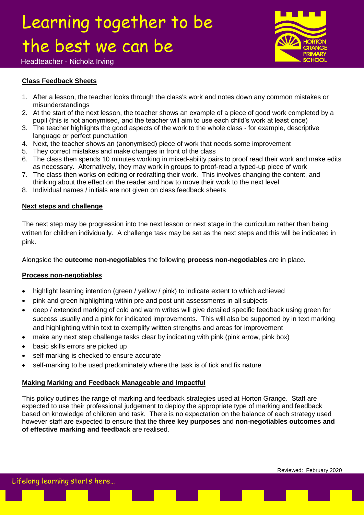

#### Headteacher - Nichola Irving

#### **Class Feedback Sheets**

- 1. After a lesson, the teacher looks through the class's work and notes down any common mistakes or misunderstandings
- 2. At the start of the next lesson, the teacher shows an example of a piece of good work completed by a pupil (this is not anonymised, and the teacher will aim to use each child"s work at least once)
- 3. The teacher highlights the good aspects of the work to the whole class for example, descriptive language or perfect punctuation
- 4. Next, the teacher shows an (anonymised) piece of work that needs some improvement
- 5. They correct mistakes and make changes in front of the class
- 6. The class then spends 10 minutes working in mixed-ability pairs to proof read their work and make edits as necessary. Alternatively, they may work in groups to proof-read a typed-up piece of work
- 7. The class then works on editing or redrafting their work. This involves changing the content, and thinking about the effect on the reader and how to move their work to the next level
- 8. Individual names / initials are not given on class feedback sheets

#### **Next steps and challenge**

The next step may be progression into the next lesson or next stage in the curriculum rather than being written for children individually. A challenge task may be set as the next steps and this will be indicated in pink.

Alongside the **outcome non-negotiables** the following **process non-negotiables** are in place.

#### **Process non-negotiables**

- highlight learning intention (green / yellow / pink) to indicate extent to which achieved
- pink and green highlighting within pre and post unit assessments in all subjects
- deep / extended marking of cold and warm writes will give detailed specific feedback using green for success usually and a pink for indicated improvements. This will also be supported by in text marking and highlighting within text to exemplify written strengths and areas for improvement
- make any next step challenge tasks clear by indicating with pink (pink arrow, pink box)
- basic skills errors are picked up
- self-marking is checked to ensure accurate
- self-marking to be used predominately where the task is of tick and fix nature

#### **Making Marking and Feedback Manageable and Impactful**

This policy outlines the range of marking and feedback strategies used at Horton Grange. Staff are expected to use their professional judgement to deploy the appropriate type of marking and feedback based on knowledge of children and task. There is no expectation on the balance of each strategy used however staff are expected to ensure that the **three key purposes** and **non-negotiables outcomes and of effective marking and feedback** are realised.

Lifelong learning starts here…

Reviewed: February 2020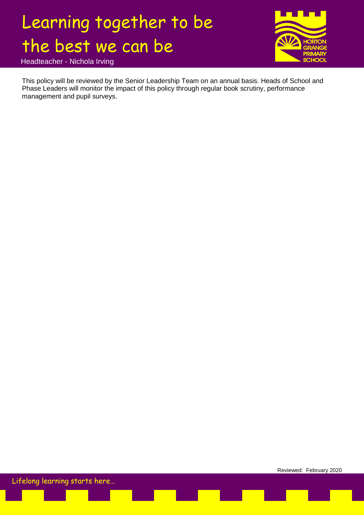

Headteacher - Nichola Irving

This policy will be reviewed by the Senior Leadership Team on an annual basis. Heads of School and Phase Leaders will monitor the impact of this policy through regular book scrutiny, performance management and pupil surveys.

Reviewed: February 2020 Lifelong learning starts here…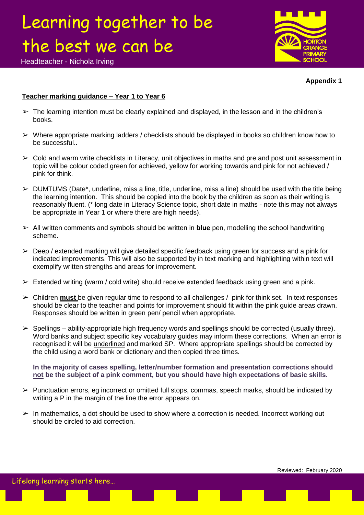

Headteacher - Nichola Irving

#### **Appendix 1**

#### **Teacher marking guidance – Year 1 to Year 6**

- $\triangleright$  The learning intention must be clearly explained and displayed, in the lesson and in the children's books.
- $\triangleright$  Where appropriate marking ladders / checklists should be displayed in books so children know how to be successful..
- $\triangleright$  Cold and warm write checklists in Literacy, unit objectives in maths and pre and post unit assessment in topic will be colour coded green for achieved, yellow for working towards and pink for not achieved / pink for think.
- $\triangleright$  DUMTUMS (Date\*, underline, miss a line, title, underline, miss a line) should be used with the title being the learning intention. This should be copied into the book by the children as soon as their writing is reasonably fluent. (\* long date in Literacy Science topic, short date in maths - note this may not always be appropriate in Year 1 or where there are high needs).
- ➢ All written comments and symbols should be written in **blue** pen, modelling the school handwriting scheme.
- $\geq$  Deep / extended marking will give detailed specific feedback using green for success and a pink for indicated improvements. This will also be supported by in text marking and highlighting within text will exemplify written strengths and areas for improvement.
- $\triangleright$  Extended writing (warm / cold write) should receive extended feedback using green and a pink.
- ➢ Children **must** be given regular time to respond to all challenges / pink for think set. In text responses should be clear to the teacher and points for improvement should fit within the pink guide areas drawn. Responses should be written in green pen/ pencil when appropriate.
- $\triangleright$  Spellings ability-appropriate high frequency words and spellings should be corrected (usually three). Word banks and subject specific key vocabulary guides may inform these corrections. When an error is recognised it will be underlined and marked SP. Where appropriate spellings should be corrected by the child using a word bank or dictionary and then copied three times.

**In the majority of cases spelling, letter/number formation and presentation corrections should not be the subject of a pink comment, but you should have high expectations of basic skills.**

- $\triangleright$  Punctuation errors, eg incorrect or omitted full stops, commas, speech marks, should be indicated by writing a P in the margin of the line the error appears on.
- $\triangleright$  In mathematics, a dot should be used to show where a correction is needed. Incorrect working out should be circled to aid correction.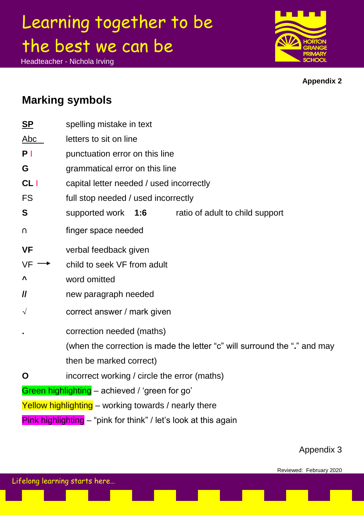Headteacher - Nichola Irving



**Appendix 2**

### **Marking symbols**

| S <sub>P</sub>      | spelling mistake in text                                                  |
|---------------------|---------------------------------------------------------------------------|
| Abc                 | letters to sit on line                                                    |
| P <sub>1</sub>      | punctuation error on this line                                            |
| G                   | grammatical error on this line                                            |
| CL                  | capital letter needed / used incorrectly                                  |
| <b>FS</b>           | full stop needed / used incorrectly                                       |
| S                   | supported work<br>1:6<br>ratio of adult to child support                  |
| U                   | finger space needed                                                       |
| <b>VF</b>           | verbal feedback given                                                     |
| <b>VF</b>           | child to seek VF from adult                                               |
| Λ                   | word omitted                                                              |
| $\pmb{\mathit{ll}}$ | new paragraph needed                                                      |
| $\sqrt{}$           | correct answer / mark given                                               |
|                     | correction needed (maths)                                                 |
|                     | (when the correction is made the letter "c" will surround the "." and may |
|                     | then be marked correct)                                                   |
| O                   | incorrect working / circle the error (maths)                              |
|                     | Green highlighting - achieved / 'green for go'                            |
|                     | Yellow highlighting - working towards / nearly there                      |
|                     | Pink highlighting - "pink for think" / let's look at this again           |

### Appendix 3

Lifelong learning starts here…

Reviewed: February 2020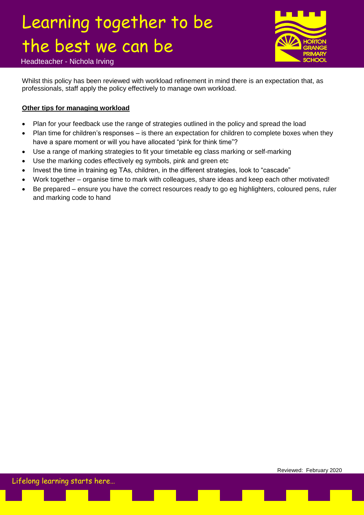

Headteacher - Nichola Irving

Whilst this policy has been reviewed with workload refinement in mind there is an expectation that, as professionals, staff apply the policy effectively to manage own workload.

#### **Other tips for managing workload**

- Plan for your feedback use the range of strategies outlined in the policy and spread the load
- Plan time for children"s responses is there an expectation for children to complete boxes when they have a spare moment or will you have allocated "pink for think time"?
- Use a range of marking strategies to fit your timetable eg class marking or self-marking
- Use the marking codes effectively eg symbols, pink and green etc
- Invest the time in training eg TAs, children, in the different strategies, look to "cascade"
- Work together organise time to mark with colleagues, share ideas and keep each other motivated!
- Be prepared ensure you have the correct resources ready to go eg highlighters, coloured pens, ruler and marking code to hand